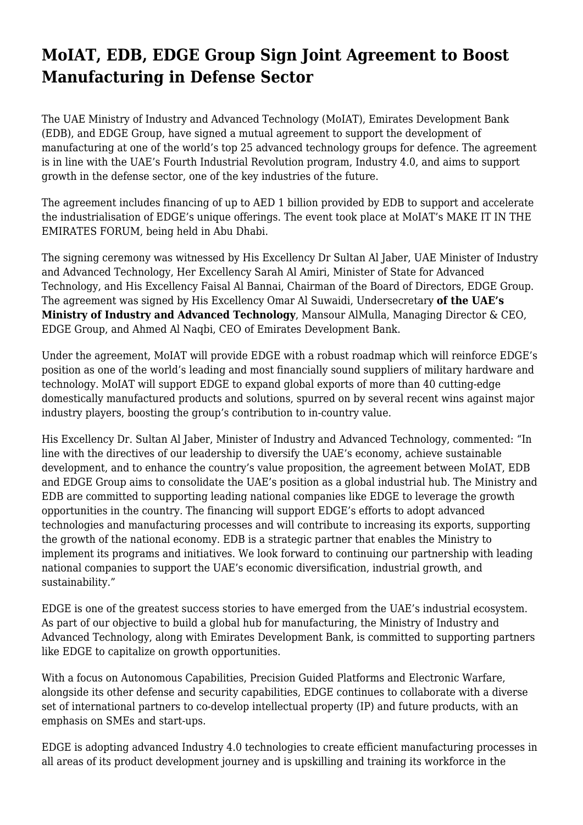## **MoIAT, EDB, EDGE Group Sign Joint Agreement to Boost Manufacturing in Defense Sector**

The UAE Ministry of Industry and Advanced Technology (MoIAT), Emirates Development Bank (EDB), and EDGE Group, have signed a mutual agreement to support the development of manufacturing at one of the world's top 25 advanced technology groups for defence. The agreement is in line with the UAE's Fourth Industrial Revolution program, Industry 4.0, and aims to support growth in the defense sector, one of the key industries of the future.

The agreement includes financing of up to AED 1 billion provided by EDB to support and accelerate the industrialisation of EDGE's unique offerings. The event took place at MoIAT's MAKE IT IN THE EMIRATES FORUM, being held in Abu Dhabi.

The signing ceremony was witnessed by His Excellency Dr Sultan Al Jaber, UAE Minister of Industry and Advanced Technology, Her Excellency Sarah Al Amiri, Minister of State for Advanced Technology, and His Excellency Faisal Al Bannai, Chairman of the Board of Directors, EDGE Group. The agreement was signed by His Excellency Omar Al Suwaidi, Undersecretary **of the UAE's Ministry of Industry and Advanced Technology**, Mansour AlMulla, Managing Director & CEO, EDGE Group, and Ahmed Al Naqbi, CEO of Emirates Development Bank.

Under the agreement, MoIAT will provide EDGE with a robust roadmap which will reinforce EDGE's position as one of the world's leading and most financially sound suppliers of military hardware and technology. MoIAT will support EDGE to expand global exports of more than 40 cutting-edge domestically manufactured products and solutions, spurred on by several recent wins against major industry players, boosting the group's contribution to in-country value.

His Excellency Dr. Sultan Al Jaber, Minister of Industry and Advanced Technology, commented: "In line with the directives of our leadership to diversify the UAE's economy, achieve sustainable development, and to enhance the country's value proposition, the agreement between MoIAT, EDB and EDGE Group aims to consolidate the UAE's position as a global industrial hub. The Ministry and EDB are committed to supporting leading national companies like EDGE to leverage the growth opportunities in the country. The financing will support EDGE's efforts to adopt advanced technologies and manufacturing processes and will contribute to increasing its exports, supporting the growth of the national economy. EDB is a strategic partner that enables the Ministry to implement its programs and initiatives. We look forward to continuing our partnership with leading national companies to support the UAE's economic diversification, industrial growth, and sustainability."

EDGE is one of the greatest success stories to have emerged from the UAE's industrial ecosystem. As part of our objective to build a global hub for manufacturing, the Ministry of Industry and Advanced Technology, along with Emirates Development Bank, is committed to supporting partners like EDGE to capitalize on growth opportunities.

With a focus on Autonomous Capabilities, Precision Guided Platforms and Electronic Warfare, alongside its other defense and security capabilities, EDGE continues to collaborate with a diverse set of international partners to co-develop intellectual property (IP) and future products, with an emphasis on SMEs and start-ups.

EDGE is adopting advanced Industry 4.0 technologies to create efficient manufacturing processes in all areas of its product development journey and is upskilling and training its workforce in the